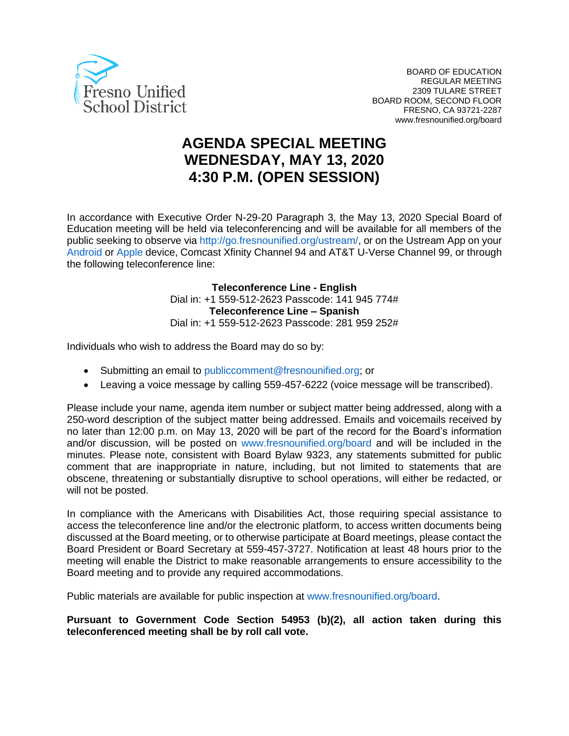

# **AGENDA SPECIAL MEETING WEDNESDAY, MAY 13, 2020 4:30 P.M. (OPEN SESSION)**

In accordance with Executive Order N-29-20 Paragraph 3, the May 13, 2020 Special Board of Education meeting will be held via teleconferencing and will be available for all members of the public seeking to observe via http://go.fresnounified.org/ustream/, or on the Ustream App on your Android or Apple device, Comcast Xfinity Channel 94 and AT&T U-Verse Channel 99, or through the following teleconference line:

> **Teleconference Line - English** Dial in: +1 559-512-2623 Passcode: 141 945 774# **Teleconference Line – Spanish** Dial in: +1 559-512-2623 Passcode: 281 959 252#

Individuals who wish to address the Board may do so by:

- Submitting an email to publiccomment@fresnounified.org; or
- Leaving a voice message by calling 559-457-6222 (voice message will be transcribed).

Please include your name, agenda item number or subject matter being addressed, along with a 250-word description of the subject matter being addressed. Emails and voicemails received by no later than 12:00 p.m. on May 13, 2020 will be part of the record for the Board's information and/or discussion, will be posted on www.fresnounified.org/board and will be included in the minutes. Please note, consistent with Board Bylaw 9323, any statements submitted for public comment that are inappropriate in nature, including, but not limited to statements that are obscene, threatening or substantially disruptive to school operations, will either be redacted, or will not be posted.

In compliance with the Americans with Disabilities Act, those requiring special assistance to access the teleconference line and/or the electronic platform, to access written documents being discussed at the Board meeting, or to otherwise participate at Board meetings, please contact the Board President or Board Secretary at 559-457-3727. Notification at least 48 hours prior to the meeting will enable the District to make reasonable arrangements to ensure accessibility to the Board meeting and to provide any required accommodations.

Public materials are available for public inspection at www.fresnounified.org/board.

**Pursuant to Government Code Section 54953 (b)(2), all action taken during this teleconferenced meeting shall be by roll call vote.**